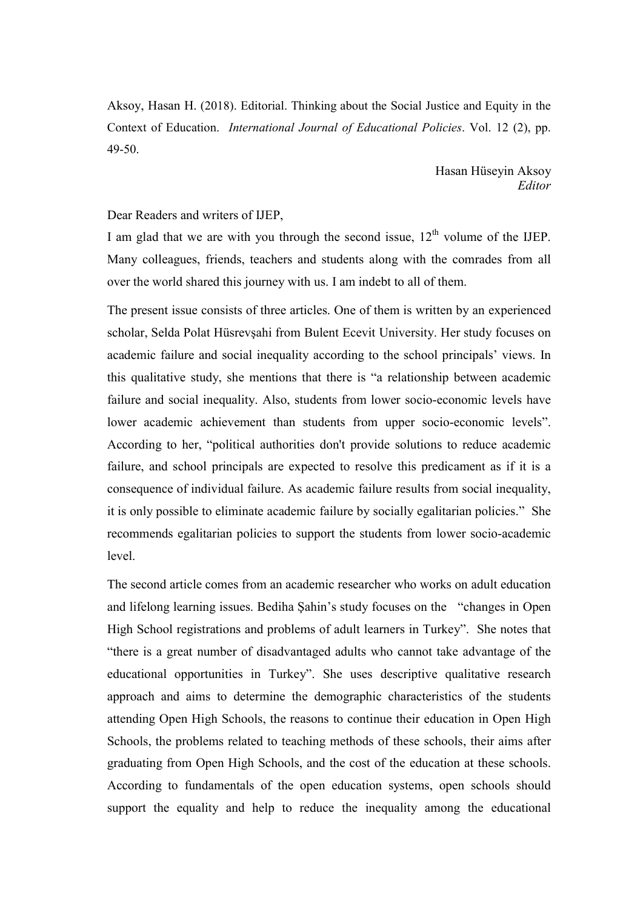Aksoy, Hasan H. (2018). Editorial. Thinking about the Social Justice and Equity in the Context of Education. International Journal of Educational Policies. Vol. 12 (2), pp. 49-50.

> Hasan Hüseyin Aksoy Editor

## Dear Readers and writers of IJEP,

I am glad that we are with you through the second issue,  $12<sup>th</sup>$  volume of the IJEP. Many colleagues, friends, teachers and students along with the comrades from all over the world shared this journey with us. I am indebt to all of them.

The present issue consists of three articles. One of them is written by an experienced scholar, Selda Polat Hüsrevşahi from Bulent Ecevit University. Her study focuses on academic failure and social inequality according to the school principals' views. In this qualitative study, she mentions that there is "a relationship between academic failure and social inequality. Also, students from lower socio-economic levels have lower academic achievement than students from upper socio-economic levels". According to her, "political authorities don't provide solutions to reduce academic failure, and school principals are expected to resolve this predicament as if it is a consequence of individual failure. As academic failure results from social inequality, it is only possible to eliminate academic failure by socially egalitarian policies." She recommends egalitarian policies to support the students from lower socio-academic level.

The second article comes from an academic researcher who works on adult education and lifelong learning issues. Bediha Şahin's study focuses on the "changes in Open High School registrations and problems of adult learners in Turkey". She notes that "there is a great number of disadvantaged adults who cannot take advantage of the educational opportunities in Turkey". She uses descriptive qualitative research approach and aims to determine the demographic characteristics of the students attending Open High Schools, the reasons to continue their education in Open High Schools, the problems related to teaching methods of these schools, their aims after graduating from Open High Schools, and the cost of the education at these schools. According to fundamentals of the open education systems, open schools should support the equality and help to reduce the inequality among the educational